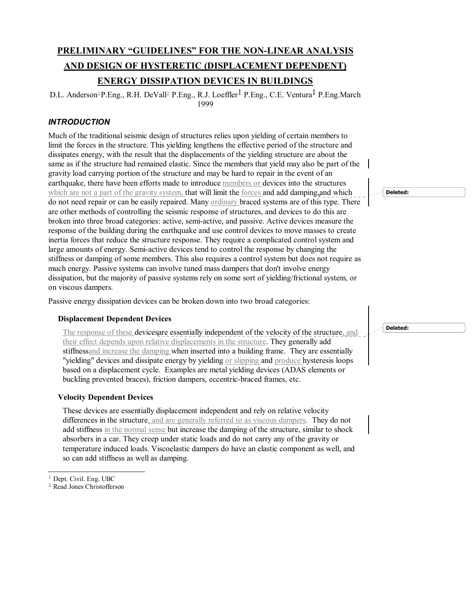# PRELIMINARY "GUIDELINES" FOR THE NON-LINEAR ANALYSIS AND DESIGN OF HYSTERETIC (DISPLACEMENT DEPENDENT) ENERGY DISSIPATION DEVICES IN BUILDINGS

D.L. Anderson<sup>1</sup>P.Eng., R.H. DeVall<sup>2</sup> P.Eng., R.J. Loeffler<sup>1</sup> P.Eng., C.E. Ventura<sup>1</sup> P.Eng.March 1999

### **INTRODUCTION**

Much of the traditional seismic design of structures relies upon yielding of certain members to limit the forces in the structure. This yielding lengthens the effective period of the structure and dissipates energy, with the result that the displacements of the yielding structure are about the same as if the structure had remained elastic. Since the members that yield may also be part of the gravity load carrying portion of the structure and may be hard to repair in the event of an earthquake, there have been efforts made to introduce members or devices into the structures which are not a part of the gravity system, that will limit the forces and add damping, and which do not need repair or can be easily repaired. Many ordinary braced systems are of this type. There are other methods of controlling the seismic response of structures, and devices to do this are broken into three broad categories: active, semi-active, and passive. Active devices measure the response of the building during the earthquake and use control devices to move masses to create inertia forces that reduce the structure response. They require a complicated control system and large amounts of energy. Semi-active devices tend to control the response by changing the stiffness or damping of some members. This also requires a control system but does not require as much energy. Passive systems can involve tuned mass dampers that don't involve energy dissipation, but the majority of passive systems rely on some sort of yielding/frictional system, or on viscous dampers.

Passive energy dissipation devices can be broken down into two broad categories:

#### Displacement Dependent Devices

The response of these devicesare essentially independent of the velocity of the structure, and their effect depends upon relative displacements in the structure. They generally add stiffnessand increase the damping when inserted into a building frame. They are essentially "yielding" devices and dissipate energy by yielding or slipping and produce hysteresis loops based on a displacement cycle. Examples are metal yielding devices (ADAS elements or buckling prevented braces), friction dampers, eccentric-braced frames, etc.

#### Velocity Dependent Devices

These devices are essentially displacement independent and rely on relative velocity differences in the structure, and are generally referred to as viscous dampers. They do not add stiffness in the normal sense but increase the damping of the structure, similar to shock absorbers in a car. They creep under static loads and do not carry any of the gravity or temperature induced loads. Viscoelastic dampers do have an elastic component as well, and so can add stiffness as well as damping.

L

<sup>2</sup> Read Jones Christofferson

Deleted:

Deleted:

Dept. Civil. Eng. UBC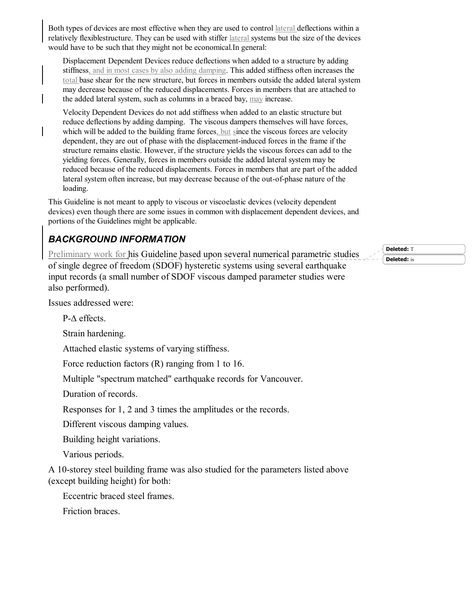Both types of devices are most effective when they are used to control lateral deflections within a relatively flexiblestructure. They can be used with stiffer lateral systems but the size of the devices would have to be such that they might not be economical.In general:

Displacement Dependent Devices reduce deflections when added to a structure by adding stiffness, and in most cases by also adding damping. This added stiffness often increases the total base shear for the new structure, but forces in members outside the added lateral system may decrease because of the reduced displacements. Forces in members that are attached to the added lateral system, such as columns in a braced bay, may increase.

Velocity Dependent Devices do not add stiffness when added to an elastic structure but reduce deflections by adding damping. The viscous dampers themselves will have forces, which will be added to the building frame forces, but since the viscous forces are velocity dependent, they are out of phase with the displacement-induced forces in the frame if the structure remains elastic. However, if the structure yields the viscous forces can add to the yielding forces. Generally, forces in members outside the added lateral system may be reduced because of the reduced displacements. Forces in members that are part of the added lateral system often increase, but may decrease because of the out-of-phase nature of the loading.

This Guideline is not meant to apply to viscous or viscoelastic devices (velocity dependent devices) even though there are some issues in common with displacement dependent devices, and portions of the Guidelines might be applicable.

# BACKGROUND INFORMATION

Preliminary work for his Guideline based upon several numerical parametric studies of single degree of freedom (SDOF) hysteretic systems using several earthquake input records (a small number of SDOF viscous damped parameter studies were also performed).

Issues addressed were:

P-∆ effects.

Strain hardening.

Attached elastic systems of varying stiffness.

Force reduction factors (R) ranging from 1 to 16.

Multiple "spectrum matched" earthquake records for Vancouver.

Duration of records.

Responses for 1, 2 and 3 times the amplitudes or the records.

Different viscous damping values.

Building height variations.

Various periods.

A 10-storey steel building frame was also studied for the parameters listed above (except building height) for both:

Eccentric braced steel frames.

Friction braces.

Deleted: T Deleted: is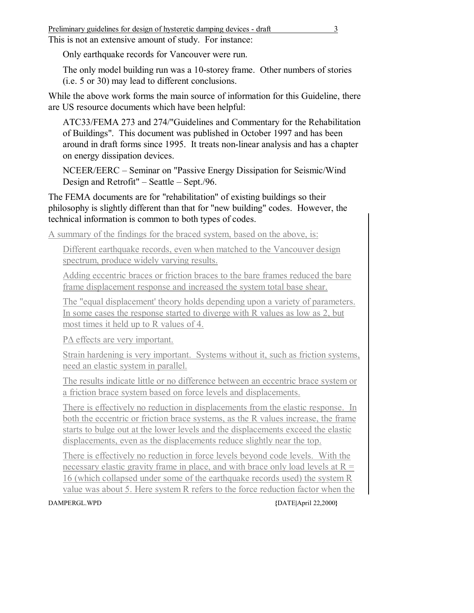This is not an extensive amount of study. For instance:

Only earthquake records for Vancouver were run.

The only model building run was a 10-storey frame. Other numbers of stories (i.e. 5 or 30) may lead to different conclusions.

While the above work forms the main source of information for this Guideline, there are US resource documents which have been helpful:

ATC33/FEMA 273 and 274/"Guidelines and Commentary for the Rehabilitation of Buildings". This document was published in October 1997 and has been around in draft forms since 1995. It treats non-linear analysis and has a chapter on energy dissipation devices.

NCEER/EERC – Seminar on "Passive Energy Dissipation for Seismic/Wind Design and Retrofit" – Seattle – Sept./96.

The FEMA documents are for "rehabilitation" of existing buildings so their philosophy is slightly different than that for "new building" codes. However, the technical information is common to both types of codes.

A summary of the findings for the braced system, based on the above, is:

Different earthquake records, even when matched to the Vancouver design spectrum, produce widely varying results.

Adding eccentric braces or friction braces to the bare frames reduced the bare frame displacement response and increased the system total base shear.

The "equal displacement' theory holds depending upon a variety of parameters. In some cases the response started to diverge with R values as low as 2, but most times it held up to R values of 4.

P∆ effects are very important.

Strain hardening is very important. Systems without it, such as friction systems, need an elastic system in parallel.

The results indicate little or no difference between an eccentric brace system or a friction brace system based on force levels and displacements.

There is effectively no reduction in displacements from the elastic response. In both the eccentric or friction brace systems, as the R values increase, the frame starts to bulge out at the lower levels and the displacements exceed the elastic displacements, even as the displacements reduce slightly near the top.

There is effectively no reduction in force levels beyond code levels. With the necessary elastic gravity frame in place, and with brace only load levels at  $R =$ 16 (which collapsed under some of the earthquake records used) the system R value was about 5. Here system R refers to the force reduction factor when the

DAMPERGL.WPD **{DATE|April 22,2000}**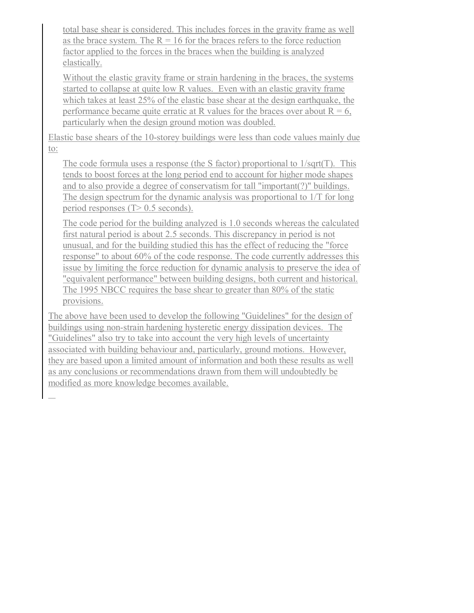total base shear is considered. This includes forces in the gravity frame as well as the brace system. The  $R = 16$  for the braces refers to the force reduction factor applied to the forces in the braces when the building is analyzed elastically.

Without the elastic gravity frame or strain hardening in the braces, the systems started to collapse at quite low R values. Even with an elastic gravity frame which takes at least 25% of the elastic base shear at the design earthquake, the performance became quite erratic at R values for the braces over about  $R = 6$ , particularly when the design ground motion was doubled.

Elastic base shears of the 10-storey buildings were less than code values mainly due to:

The code formula uses a response (the S factor) proportional to 1/sqrt(T). This tends to boost forces at the long period end to account for higher mode shapes and to also provide a degree of conservatism for tall "important(?)" buildings. The design spectrum for the dynamic analysis was proportional to 1/T for long period responses (T> 0.5 seconds).

The code period for the building analyzed is 1.0 seconds whereas the calculated first natural period is about 2.5 seconds. This discrepancy in period is not unusual, and for the building studied this has the effect of reducing the "force response" to about 60% of the code response. The code currently addresses this issue by limiting the force reduction for dynamic analysis to preserve the idea of "equivalent performance" between building designs, both current and historical. The 1995 NBCC requires the base shear to greater than 80% of the static provisions.

The above have been used to develop the following "Guidelines" for the design of buildings using non-strain hardening hysteretic energy dissipation devices. The "Guidelines" also try to take into account the very high levels of uncertainty associated with building behaviour and, particularly, ground motions. However, they are based upon a limited amount of information and both these results as well as any conclusions or recommendations drawn from them will undoubtedly be modified as more knowledge becomes available.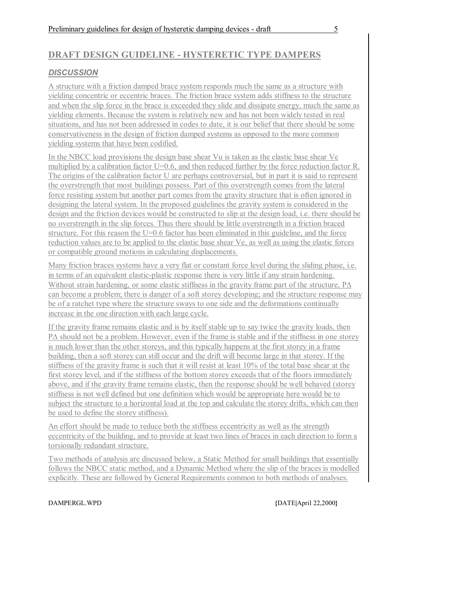## DRAFT DESIGN GUIDELINE - HYSTERETIC TYPE DAMPERS

### **DISCUSSION**

A structure with a friction damped brace system responds much the same as a structure with yielding concentric or eccentric braces. The friction brace system adds stiffness to the structure and when the slip force in the brace is exceeded they slide and dissipate energy, much the same as yielding elements. Because the system is relatively new and has not been widely tested in real situations, and has not been addressed in codes to date, it is our belief that there should be some conservativeness in the design of friction damped systems as opposed to the more common yielding systems that have been codified.

In the NBCC load provisions the design base shear Vu is taken as the elastic base shear Ve multiplied by a calibration factor U=0.6, and then reduced further by the force reduction factor R. The origins of the calibration factor U are perhaps controversial, but in part it is said to represent the overstrength that most buildings possess. Part of this overstrength comes from the lateral force resisting system but another part comes from the gravity structure that is often ignored in designing the lateral system. In the proposed guidelines the gravity system is considered in the design and the friction devices would be constructed to slip at the design load, i.e. there should be no overstrength in the slip forces. Thus there should be little overstrength in a friction braced structure. For this reason the  $U=0.6$  factor has been eliminated in this guideline, and the force reduction values are to be applied to the elastic base shear Ve, as well as using the elastic forces or compatible ground motions in calculating displacements.

Many friction braces systems have a very flat or constant force level during the sliding phase, i.e. in terms of an equivalent elastic-plastic response there is very little if any strain hardening. Without strain hardening, or some elastic stiffness in the gravity frame part of the structure, P∆ can become a problem; there is danger of a soft storey developing; and the structure response may be of a ratchet type where the structure sways to one side and the deformations continually increase in the one direction with each large cycle.

If the gravity frame remains elastic and is by itself stable up to say twice the gravity loads, then P∆ should not be a problem. However, even if the frame is stable and if the stiffness in one storey is much lower than the other storeys, and this typically happens at the first storey in a frame building, then a soft storey can still occur and the drift will become large in that storey. If the stiffness of the gravity frame is such that it will resist at least 10% of the total base shear at the first storey level, and if the stiffness of the bottom storey exceeds that of the floors immediately above, and if the gravity frame remains elastic, then the response should be well behaved (storey stiffness is not well defined but one definition which would be appropriate here would be to subject the structure to a horizontal load at the top and calculate the storey drifts, which can then be used to define the storey stiffness).

An effort should be made to reduce both the stiffness eccentricity as well as the strength eccentricity of the building, and to provide at least two lines of braces in each direction to form a torsionally redundant structure.

Two methods of analysis are discussed below, a Static Method for small buildings that essentially follows the NBCC static method, and a Dynamic Method where the slip of the braces is modelled explicitly. These are followed by General Requirements common to both methods of analyses.

DAMPERGL.WPD **{DATE|April 22,2000}**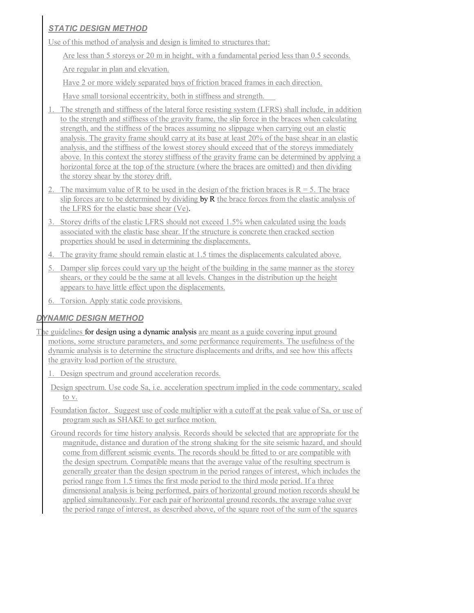# STATIC DESIGN METHOD

Use of this method of analysis and design is limited to structures that:

Are less than 5 storeys or 20 m in height, with a fundamental period less than 0.5 seconds.

Are regular in plan and elevation.

Have 2 or more widely separated bays of friction braced frames in each direction.

Have small torsional eccentricity, both in stiffness and strength.

- 1. The strength and stiffness of the lateral force resisting system (LFRS) shall include, in addition to the strength and stiffness of the gravity frame, the slip force in the braces when calculating strength, and the stiffness of the braces assuming no slippage when carrying out an elastic analysis. The gravity frame should carry at its base at least 20% of the base shear in an elastic analysis, and the stiffness of the lowest storey should exceed that of the storeys immediately above. In this context the storey stiffness of the gravity frame can be determined by applying a horizontal force at the top of the structure (where the braces are omitted) and then dividing the storey shear by the storey drift.
- 2. The maximum value of R to be used in the design of the friction braces is  $R = 5$ . The brace slip forces are to be determined by dividing  $by \, R$  the brace forces from the elastic analysis of the LFRS for the elastic base shear (Ve).
- 3. Storey drifts of the elastic LFRS should not exceed 1.5% when calculated using the loads associated with the elastic base shear. If the structure is concrete then cracked section properties should be used in determining the displacements.
- 4. The gravity frame should remain elastic at 1.5 times the displacements calculated above.
- 5. Damper slip forces could vary up the height of the building in the same manner as the storey shears, or they could be the same at all levels. Changes in the distribution up the height appears to have little effect upon the displacements.
- 6. Torsion. Apply static code provisions.

## DYNAMIC DESIGN METHOD

- The guidelines for design using a dynamic analysis are meant as a guide covering input ground motions, some structure parameters, and some performance requirements. The usefulness of the dynamic analysis is to determine the structure displacements and drifts, and see how this affects the gravity load portion of the structure.
	- 1. Design spectrum and ground acceleration records.
	- Design spectrum. Use code Sa, i.e. acceleration spectrum implied in the code commentary, scaled to v.

Foundation factor. Suggest use of code multiplier with a cutoff at the peak value of Sa, or use of program such as SHAKE to get surface motion.

Ground records for time history analysis. Records should be selected that are appropriate for the magnitude, distance and duration of the strong shaking for the site seismic hazard, and should come from different seismic events. The records should be fitted to or are compatible with the design spectrum. Compatible means that the average value of the resulting spectrum is generally greater than the design spectrum in the period ranges of interest, which includes the period range from 1.5 times the first mode period to the third mode period. If a three dimensional analysis is being performed, pairs of horizontal ground motion records should be applied simultaneously. For each pair of horizontal ground records, the average value over the period range of interest, as described above, of the square root of the sum of the squares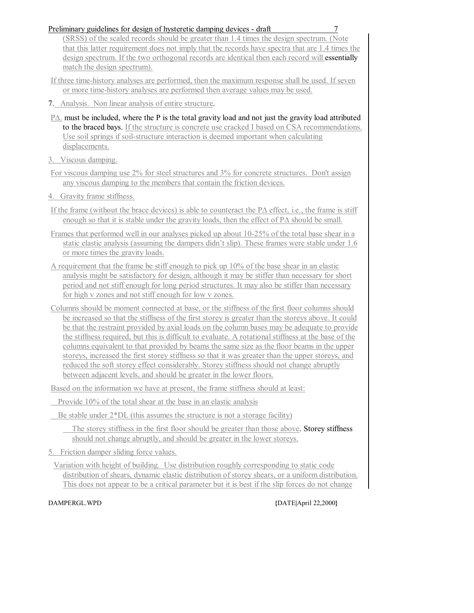| Preliminary guidelines for design of hysteretic damping devices - draft                                                                                                                                                                                                                                                                                                                                                                                                                                                                                                                                                                                                                                                                                                           |
|-----------------------------------------------------------------------------------------------------------------------------------------------------------------------------------------------------------------------------------------------------------------------------------------------------------------------------------------------------------------------------------------------------------------------------------------------------------------------------------------------------------------------------------------------------------------------------------------------------------------------------------------------------------------------------------------------------------------------------------------------------------------------------------|
| (SRSS) of the scaled records should be greater than 1.4 times the design spectrum. (Note<br>that this latter requirement does not imply that the records have spectra that are 1.4 times the                                                                                                                                                                                                                                                                                                                                                                                                                                                                                                                                                                                      |
| design spectrum. If the two orthogonal records are identical then each record will essentially                                                                                                                                                                                                                                                                                                                                                                                                                                                                                                                                                                                                                                                                                    |
| match the design spectrum).                                                                                                                                                                                                                                                                                                                                                                                                                                                                                                                                                                                                                                                                                                                                                       |
| If three time-history analyses are performed, then the maximum response shall be used. If seven<br>or more time-history analyses are performed then average values may be used.                                                                                                                                                                                                                                                                                                                                                                                                                                                                                                                                                                                                   |
| 7. Analysis. Non linear analysis of entire structure.                                                                                                                                                                                                                                                                                                                                                                                                                                                                                                                                                                                                                                                                                                                             |
| $\underline{P}\Delta$ must be included, where the P is the total gravity load and not just the gravity load attributed                                                                                                                                                                                                                                                                                                                                                                                                                                                                                                                                                                                                                                                            |
| to the braced bays. If the structure is concrete use cracked I based on CSA recommendations.<br>Use soil springs if soil-structure interaction is deemed important when calculating<br>displacements.                                                                                                                                                                                                                                                                                                                                                                                                                                                                                                                                                                             |
| 3. Viscous damping.                                                                                                                                                                                                                                                                                                                                                                                                                                                                                                                                                                                                                                                                                                                                                               |
| For viscous damping use 2% for steel structures and 3% for concrete structures. Don't assign<br>any viscous damping to the members that contain the friction devices.                                                                                                                                                                                                                                                                                                                                                                                                                                                                                                                                                                                                             |
| 4. Gravity frame stiffness.                                                                                                                                                                                                                                                                                                                                                                                                                                                                                                                                                                                                                                                                                                                                                       |
| If the frame (without the brace devices) is able to counteract the $P\Delta$ effect, i.e., the frame is stiff<br>enough so that it is stable under the gravity loads, then the effect of $P\Delta$ should be small.                                                                                                                                                                                                                                                                                                                                                                                                                                                                                                                                                               |
| Frames that performed well in our analyses picked up about 10-25% of the total base shear in a<br>static elastic analysis (assuming the dampers didn't slip). These frames were stable under 1.6<br>or more times the gravity loads.                                                                                                                                                                                                                                                                                                                                                                                                                                                                                                                                              |
| A requirement that the frame be stiff enough to pick up 10% of the base shear in an elastic<br>analysis might be satisfactory for design, although it may be stiffer than necessary for short<br>period and not stiff enough for long period structures. It may also be stiffer than necessary<br>for high v zones and not stiff enough for low v zones.                                                                                                                                                                                                                                                                                                                                                                                                                          |
| Columns should be moment connected at base, or the stiffness of the first floor columns should<br>be increased so that the stiffness of the first storey is greater than the storeys above. It could<br>be that the restraint provided by axial loads on the column bases may be adequate to provide<br>the stiffness required, but this is difficult to evaluate. A rotational stiffness at the base of the<br>columns equivalent to that provided by beams the same size as the floor beams in the upper<br>storeys, increased the first storey stiffness so that it was greater than the upper storeys, and<br>reduced the soft storey effect considerably. Storey stiffness should not change abruptly<br>between adjacent levels, and should be greater in the lower floors. |
| Based on the information we have at present, the frame stiffness should at least:                                                                                                                                                                                                                                                                                                                                                                                                                                                                                                                                                                                                                                                                                                 |
| Provide 10% of the total shear at the base in an elastic analysis                                                                                                                                                                                                                                                                                                                                                                                                                                                                                                                                                                                                                                                                                                                 |
| Be stable under $2*DL$ (this assumes the structure is not a storage facility)                                                                                                                                                                                                                                                                                                                                                                                                                                                                                                                                                                                                                                                                                                     |
| The storey stiffness in the first floor should be greater than those above. Storey stiffness<br>should not change abruptly, and should be greater in the lower storeys.                                                                                                                                                                                                                                                                                                                                                                                                                                                                                                                                                                                                           |
| 5. Friction damper sliding force values.                                                                                                                                                                                                                                                                                                                                                                                                                                                                                                                                                                                                                                                                                                                                          |
| Variation with height of building. Use distribution roughly corresponding to static code<br>distribution of shears, dynamic elastic distribution of storey shears, or a uniform distribution.<br>This does not appear to be a critical parameter but it is best if the slip forces do not change                                                                                                                                                                                                                                                                                                                                                                                                                                                                                  |
| DAMPERGL.WPD<br>{DATE April 22,2000}                                                                                                                                                                                                                                                                                                                                                                                                                                                                                                                                                                                                                                                                                                                                              |
|                                                                                                                                                                                                                                                                                                                                                                                                                                                                                                                                                                                                                                                                                                                                                                                   |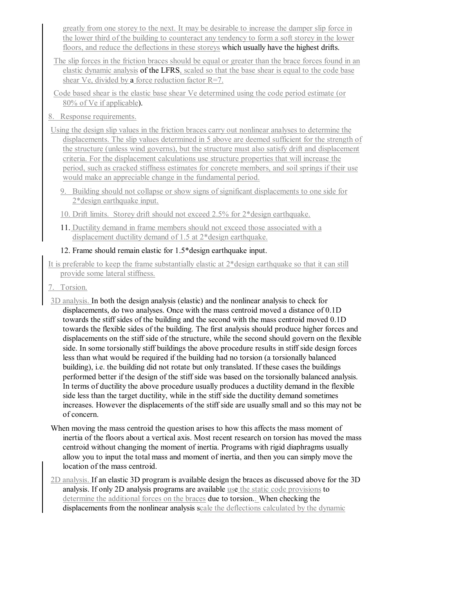greatly from one storey to the next. It may be desirable to increase the damper slip force in the lower third of the building to counteract any tendency to form a soft storey in the lower floors, and reduce the deflections in these storeys which usually have the highest drifts.

The slip forces in the friction braces should be equal or greater than the brace forces found in an elastic dynamic analysis of the LFRS, scaled so that the base shear is equal to the code base shear Ve, divided by a force reduction factor R=7.

Code based shear is the elastic base shear Ve determined using the code period estimate (or 80% of Ve if applicable).

8. Response requirements.

Using the design slip values in the friction braces carry out nonlinear analyses to determine the displacements. The slip values determined in 5 above are deemed sufficient for the strength of the structure (unless wind governs), but the structure must also satisfy drift and displacement criteria. For the displacement calculations use structure properties that will increase the period, such as cracked stiffness estimates for concrete members, and soil springs if their use would make an appreciable change in the fundamental period.

- 9. Building should not collapse or show signs of significant displacements to one side for 2\*design earthquake input.
- 10. Drift limits. Storey drift should not exceed 2.5% for 2\*design earthquake.
- 11. Ductility demand in frame members should not exceed those associated with a displacement ductility demand of 1.5 at 2\*design earthquake.

### 12. Frame should remain elastic for 1.5\*design earthquake input.

It is preferable to keep the frame substantially elastic at 2\*design earthquake so that it can still provide some lateral stiffness.

7. Torsion.

3D analysis. In both the design analysis (elastic) and the nonlinear analysis to check for displacements, do two analyses. Once with the mass centroid moved a distance of 0.1D towards the stiff sides of the building and the second with the mass centroid moved 0.1D towards the flexible sides of the building. The first analysis should produce higher forces and displacements on the stiff side of the structure, while the second should govern on the flexible side. In some torsionally stiff buildings the above procedure results in stiff side design forces less than what would be required if the building had no torsion (a torsionally balanced building), i.e. the building did not rotate but only translated. If these cases the buildings performed better if the design of the stiff side was based on the torsionally balanced analysis. In terms of ductility the above procedure usually produces a ductility demand in the flexible side less than the target ductility, while in the stiff side the ductility demand sometimes increases. However the displacements of the stiff side are usually small and so this may not be of concern.

- When moving the mass centroid the question arises to how this affects the mass moment of inertia of the floors about a vertical axis. Most recent research on torsion has moved the mass centroid without changing the moment of inertia. Programs with rigid diaphragms usually allow you to input the total mass and moment of inertia, and then you can simply move the location of the mass centroid.
- 2D analysis. If an elastic 3D program is available design the braces as discussed above for the 3D analysis. If only 2D analysis programs are available use the static code provisions to determine the additional forces on the braces due to torsion.. When checking the displacements from the nonlinear analysis scale the deflections calculated by the dynamic